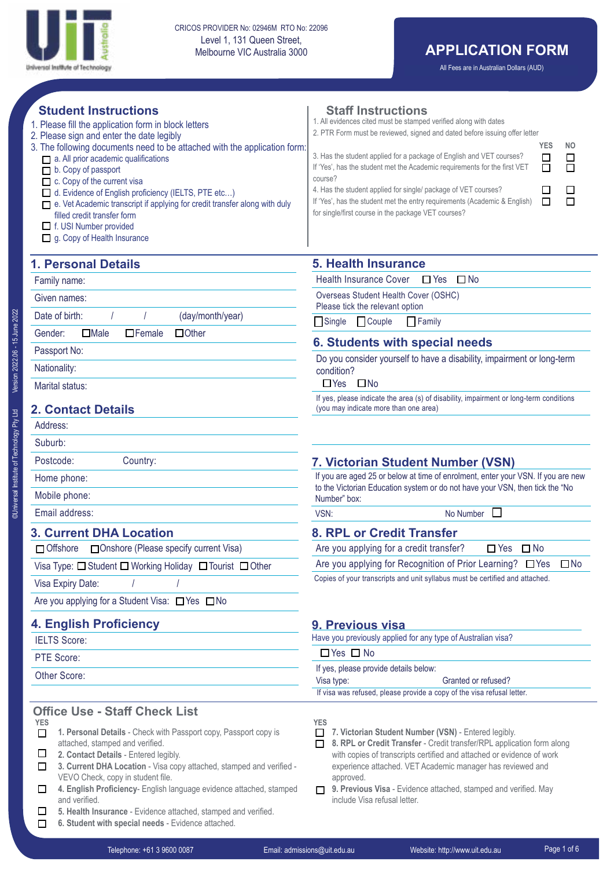

All Fees are in Australian Dollars (AUD)

| <b>Student Instructions</b><br>1. Please fill the application form in block letters<br>2. Please sign and enter the date legibly<br>3. The following documents need to be attached with the application form:<br>a. All prior academic qualifications<br>$\Box$ b. Copy of passport<br>$\Box$ c. Copy of the current visa<br>d. Evidence of English proficiency (IELTS, PTE etc)<br>□ e. Vet Academic transcript if applying for credit transfer along with duly<br>filled credit transfer form<br>$\Box$ f. USI Number provided<br>g. Copy of Health Insurance | <b>Staff Instructions</b><br>1. All evidences cited must be stamped verified along with dates<br>2. PTR Form must be reviewed, signed and dated before issuing offer letter<br><b>YES</b><br>NO.<br>3. Has the student applied for a package of English and VET courses?<br>□<br>$\Box$<br>$\Box$<br>If 'Yes', has the student met the Academic requirements for the first VET<br>$\Box$<br>course?<br>4. Has the student applied for single/ package of VET courses?<br>$\Box$<br>ப<br>$\Box$<br>$\Box$<br>If 'Yes', has the student met the entry requirements (Academic & English)<br>for single/first course in the package VET courses? |  |  |
|-----------------------------------------------------------------------------------------------------------------------------------------------------------------------------------------------------------------------------------------------------------------------------------------------------------------------------------------------------------------------------------------------------------------------------------------------------------------------------------------------------------------------------------------------------------------|----------------------------------------------------------------------------------------------------------------------------------------------------------------------------------------------------------------------------------------------------------------------------------------------------------------------------------------------------------------------------------------------------------------------------------------------------------------------------------------------------------------------------------------------------------------------------------------------------------------------------------------------|--|--|
| <b>1. Personal Details</b>                                                                                                                                                                                                                                                                                                                                                                                                                                                                                                                                      | <b>5. Health Insurance</b>                                                                                                                                                                                                                                                                                                                                                                                                                                                                                                                                                                                                                   |  |  |
| Family name:                                                                                                                                                                                                                                                                                                                                                                                                                                                                                                                                                    | <b>Health Insurance Cover</b><br>$\Box$ No<br>$\Box$ Yes                                                                                                                                                                                                                                                                                                                                                                                                                                                                                                                                                                                     |  |  |
| Given names:                                                                                                                                                                                                                                                                                                                                                                                                                                                                                                                                                    | Overseas Student Health Cover (OSHC)                                                                                                                                                                                                                                                                                                                                                                                                                                                                                                                                                                                                         |  |  |
| (day/month/year)<br>Date of birth:                                                                                                                                                                                                                                                                                                                                                                                                                                                                                                                              | Please tick the relevant option<br>$\Box$ Couple<br>$\Box$ Single<br>$\Box$ Family                                                                                                                                                                                                                                                                                                                                                                                                                                                                                                                                                           |  |  |
| $\Box$ Male<br>$\Box$ Female<br>$\Box$ Other<br>Gender:                                                                                                                                                                                                                                                                                                                                                                                                                                                                                                         |                                                                                                                                                                                                                                                                                                                                                                                                                                                                                                                                                                                                                                              |  |  |
| Passport No:                                                                                                                                                                                                                                                                                                                                                                                                                                                                                                                                                    | <b>6. Students with special needs</b><br>Do you consider yourself to have a disability, impairment or long-term                                                                                                                                                                                                                                                                                                                                                                                                                                                                                                                              |  |  |
| Nationality:                                                                                                                                                                                                                                                                                                                                                                                                                                                                                                                                                    | condition?                                                                                                                                                                                                                                                                                                                                                                                                                                                                                                                                                                                                                                   |  |  |
| $\Box$ Yes<br>$\Box$ No<br>Marital status:                                                                                                                                                                                                                                                                                                                                                                                                                                                                                                                      |                                                                                                                                                                                                                                                                                                                                                                                                                                                                                                                                                                                                                                              |  |  |
| <b>2. Contact Details</b>                                                                                                                                                                                                                                                                                                                                                                                                                                                                                                                                       | If yes, please indicate the area (s) of disability, impairment or long-term conditions<br>(you may indicate more than one area)                                                                                                                                                                                                                                                                                                                                                                                                                                                                                                              |  |  |
| Address:                                                                                                                                                                                                                                                                                                                                                                                                                                                                                                                                                        |                                                                                                                                                                                                                                                                                                                                                                                                                                                                                                                                                                                                                                              |  |  |
| Suburb:                                                                                                                                                                                                                                                                                                                                                                                                                                                                                                                                                         |                                                                                                                                                                                                                                                                                                                                                                                                                                                                                                                                                                                                                                              |  |  |
| Postcode:<br>Country:                                                                                                                                                                                                                                                                                                                                                                                                                                                                                                                                           | 7. Victorian Student Number (VSN)                                                                                                                                                                                                                                                                                                                                                                                                                                                                                                                                                                                                            |  |  |
| Home phone:                                                                                                                                                                                                                                                                                                                                                                                                                                                                                                                                                     | If you are aged 25 or below at time of enrolment, enter your VSN. If you are new<br>to the Victorian Education system or do not have your VSN, then tick the "No                                                                                                                                                                                                                                                                                                                                                                                                                                                                             |  |  |
| Mobile phone:                                                                                                                                                                                                                                                                                                                                                                                                                                                                                                                                                   | Number" box:                                                                                                                                                                                                                                                                                                                                                                                                                                                                                                                                                                                                                                 |  |  |
| Email address:                                                                                                                                                                                                                                                                                                                                                                                                                                                                                                                                                  | $\Box$<br>VSN:<br>No Number                                                                                                                                                                                                                                                                                                                                                                                                                                                                                                                                                                                                                  |  |  |
| <b>3. Current DHA Location</b>                                                                                                                                                                                                                                                                                                                                                                                                                                                                                                                                  | 8. RPL or Credit Transfer                                                                                                                                                                                                                                                                                                                                                                                                                                                                                                                                                                                                                    |  |  |
| $\Box$ Offshore<br>□ Onshore (Please specify current Visa)                                                                                                                                                                                                                                                                                                                                                                                                                                                                                                      | Are you applying for a credit transfer?<br>$\Box$ Yes $\Box$ No                                                                                                                                                                                                                                                                                                                                                                                                                                                                                                                                                                              |  |  |
| Visa Type: □ Student □ Working Holiday □ Tourist □ Other                                                                                                                                                                                                                                                                                                                                                                                                                                                                                                        | Are you applying for Recognition of Prior Learning?<br>$\square$ No<br>$\Box$ Yes                                                                                                                                                                                                                                                                                                                                                                                                                                                                                                                                                            |  |  |
| Visa Expiry Date:                                                                                                                                                                                                                                                                                                                                                                                                                                                                                                                                               | Copies of your transcripts and unit syllabus must be certified and attached.                                                                                                                                                                                                                                                                                                                                                                                                                                                                                                                                                                 |  |  |
| Are you applying for a Student Visa: □ Yes □ No                                                                                                                                                                                                                                                                                                                                                                                                                                                                                                                 |                                                                                                                                                                                                                                                                                                                                                                                                                                                                                                                                                                                                                                              |  |  |
| <b>4. English Proficiency</b>                                                                                                                                                                                                                                                                                                                                                                                                                                                                                                                                   | 9. Previous visa                                                                                                                                                                                                                                                                                                                                                                                                                                                                                                                                                                                                                             |  |  |
| <b>IELTS Score:</b>                                                                                                                                                                                                                                                                                                                                                                                                                                                                                                                                             | Have you previously applied for any type of Australian visa?                                                                                                                                                                                                                                                                                                                                                                                                                                                                                                                                                                                 |  |  |
| PTE Score:                                                                                                                                                                                                                                                                                                                                                                                                                                                                                                                                                      | $\Box$ Yes $\Box$ No                                                                                                                                                                                                                                                                                                                                                                                                                                                                                                                                                                                                                         |  |  |
| Other Score:                                                                                                                                                                                                                                                                                                                                                                                                                                                                                                                                                    | If yes, please provide details below:<br>Visa type:<br>Granted or refused?                                                                                                                                                                                                                                                                                                                                                                                                                                                                                                                                                                   |  |  |
|                                                                                                                                                                                                                                                                                                                                                                                                                                                                                                                                                                 | If visa was refused, please provide a copy of the visa refusal letter.                                                                                                                                                                                                                                                                                                                                                                                                                                                                                                                                                                       |  |  |
| <b>Office Use - Staff Check List</b><br><b>YES</b><br>1. Personal Details - Check with Passport copy, Passport copy is<br>□<br>attached, stamped and verified.<br>□<br>2. Contact Details - Entered legibly.<br>3. Current DHA Location - Visa copy attached, stamped and verified -<br>□<br>VEVO Check, copy in student file.<br>4. English Proficiency- English language evidence attached, stamped<br>□<br>and verified.                                                                                                                                     | <b>YES</b><br>7. Victorian Student Number (VSN) - Entered legibly.<br>8. RPL or Credit Transfer - Credit transfer/RPL application form along<br>□<br>with copies of transcripts certified and attached or evidence of work<br>experience attached. VET Academic manager has reviewed and<br>approved.<br>9. Previous Visa - Evidence attached, stamped and verified. May<br>П<br>include Visa refusal letter.                                                                                                                                                                                                                                |  |  |

- $\Box$ **5. Health Insurance** - Evidence attached, stamped and verified.
- **6. Student with special needs** Evidence attached.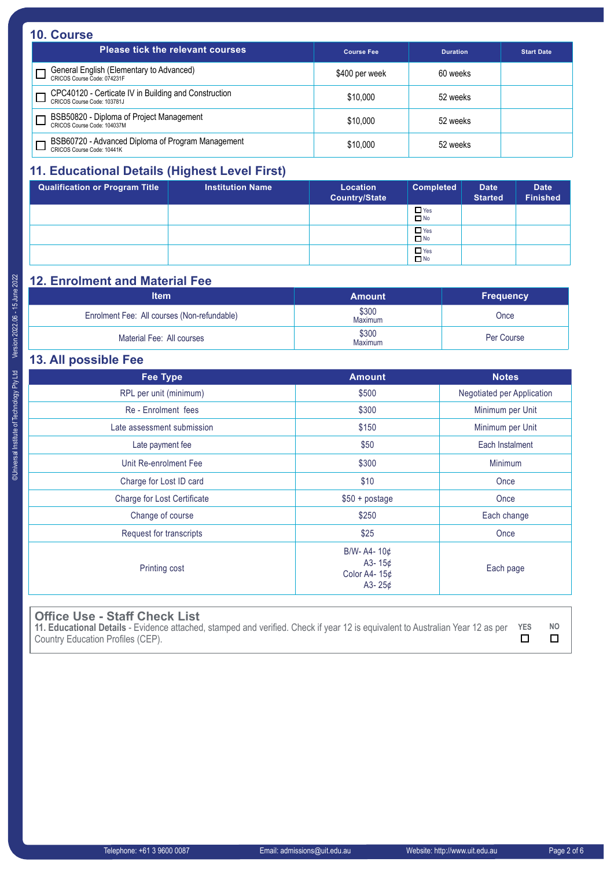### **10. Course**

| <b>Please tick the relevant courses</b>                                             | <b>Course Fee</b> | <b>Duration</b> | <b>Start Date</b> |
|-------------------------------------------------------------------------------------|-------------------|-----------------|-------------------|
| General English (Elementary to Advanced)<br>CRICOS Course Code: 074231F             | \$400 per week    | 60 weeks        |                   |
| CPC40120 - Certicate IV in Building and Construction<br>CRICOS Course Code: 103781J | \$10,000          | 52 weeks        |                   |
| BSB50820 - Diploma of Project Management<br>CRICOS Course Code: 104037M             | \$10,000          | 52 weeks        |                   |
| BSB60720 - Advanced Diploma of Program Management<br>CRICOS Course Code: 10441K     | \$10,000          | 52 weeks        |                   |

## **11. Educational Details (Highest Level First)**

| <b>Qualification or Program Title</b> | <b>Institution Name</b> | Location<br><b>Country/State</b> | <b>Completed</b>        | <b>Date</b><br><b>Started</b> | <b>Date</b><br><b>Finished</b> |
|---------------------------------------|-------------------------|----------------------------------|-------------------------|-------------------------------|--------------------------------|
|                                       |                         |                                  | $\Box$ Yes<br>$\Box$ No |                               |                                |
|                                       |                         |                                  | $\Box$ Yes<br>$\Box$ No |                               |                                |
|                                       |                         |                                  | $\Box$ Yes<br>$\Box$ No |                               |                                |

# **12. Enrolment and Material Fee**

| <b>Item</b>                                 | <b>Amount</b>           | <b>Frequency</b> |
|---------------------------------------------|-------------------------|------------------|
| Enrolment Fee: All courses (Non-refundable) | \$300<br><b>Maximum</b> | Once             |
| Material Fee: All courses                   | \$300<br>Maximum        | Per Course       |

# **13. All possible Fee**

| <b>Fee Type</b>             | <b>Amount</b>                                           | <b>Notes</b>               |
|-----------------------------|---------------------------------------------------------|----------------------------|
| RPL per unit (minimum)      | \$500                                                   | Negotiated per Application |
| Re - Enrolment fees         | \$300                                                   | Minimum per Unit           |
| Late assessment submission  | \$150                                                   | Minimum per Unit           |
| Late payment fee            | \$50                                                    | Each Instalment            |
| Unit Re-enrolment Fee       | \$300                                                   | Minimum                    |
| Charge for Lost ID card     | \$10                                                    | Once                       |
| Charge for Lost Certificate | $$50 + postage$                                         | Once                       |
| Change of course            | \$250                                                   | Each change                |
| Request for transcripts     | \$25                                                    | Once                       |
| Printing cost               | B/W-A4- $10¢$<br>A3-15 $¢$<br>Color A4-15¢<br>A3- $25¢$ | Each page                  |

### **Office Use - Staff Check List**

| 11. Educational Details - Evidence attached, stamped and verified. Check if year 12 is equivalent to Australian Year 12 as per YES | NO |
|------------------------------------------------------------------------------------------------------------------------------------|----|
| Country Education Profiles (CEP).                                                                                                  |    |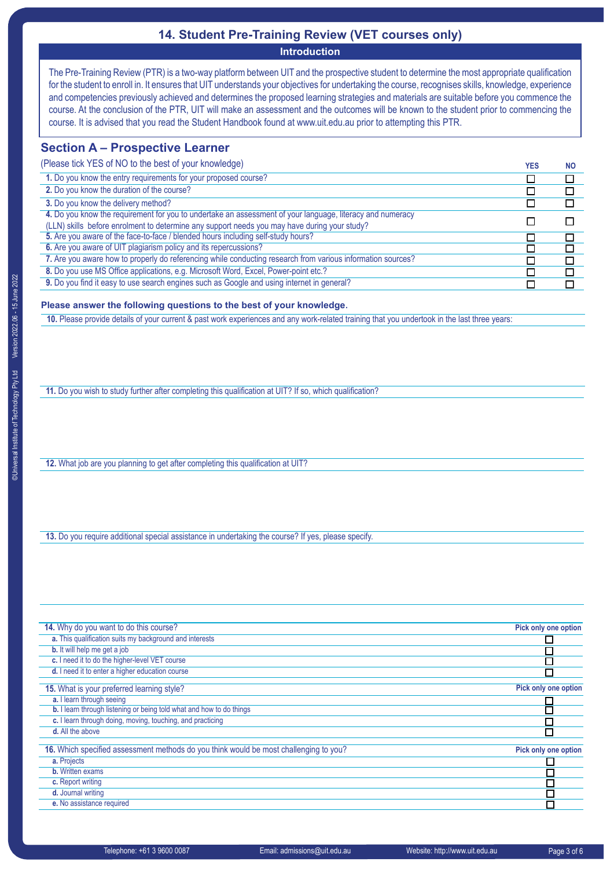### **14. Student Pre-Training Review (VET courses only)**

**Introduction**

The Pre-Training Review (PTR) is a two-way platform between UIT and the prospective student to determine the most appropriate qualification for the student to enroll in. It ensures that UIT understands your objectives for undertaking the course, recognises skills, knowledge, experience and competencies previously achieved and determines the proposed learning strategies and materials are suitable before you commence the course. At the conclusion of the PTR, UIT will make an assessment and the outcomes will be known to the student prior to commencing the course. It is advised that you read the Student Handbook found at www.uit.edu.au prior to attempting this PTR.

### **Section A – Prospective Learner**

(Please tick YES of NO to the best of your knowledge) *YES* **NO 1.** Do you know the entry requirements for your proposed course?  $\overline{\Box}$  $\overline{\Box}$ **2.** Do you know the duration of the course?  $\Box$  $\Box$ **3.** Do you know the delivery method?  $\overline{\Box}$  $\Box$ **4.** Do you know the requirement for you to undertake an assessment of your language, literacy and numeracy  $\Box$  $\Box$ (LLN) skills before enrolment to determine any support needs you may have during your study? **5.** Are you aware of the face-to-face / blended hours including self-study hours?  $\Box$  $\overline{\square}$ **6.** Are you aware of UIT plagiarism policy and its repercussions?  $\Box$ г **7.** Are you aware how to properly do referencing while conducting research from various information sources?  $\Box$ П **8.** Do you use MS Office applications, e.g. Microsoft Word, Excel, Power-point etc.? □  $\Box$ **9.** Do you find it easy to use search engines such as Google and using internet in general?  $\Box$  $\Box$ 

### **Please answer the following questions to the best of your knowledge**.

**10.** Please provide details of your current & past work experiences and any work-related training that you undertook in the last three years:

**11.** Do you wish to study further after completing this qualification at UIT? If so, which qualification?

**12.** What job are you planning to get after completing this qualification at UIT?

**13.** Do you require additional special assistance in undertaking the course? If yes, please specify.

| 14. Why do you want to do this course?                                                | Pick only one option |
|---------------------------------------------------------------------------------------|----------------------|
| a. This qualification suits my background and interests                               |                      |
| <b>b.</b> It will help me get a job                                                   |                      |
| c. I need it to do the higher-level VET course                                        |                      |
| d. I need it to enter a higher education course                                       | $\Box$               |
| 15. What is your preferred learning style?                                            | Pick only one option |
| a. I learn through seeing                                                             |                      |
| b. I learn through listening or being told what and how to do things                  |                      |
| c. I learn through doing, moving, touching, and practicing                            |                      |
| d. All the above                                                                      |                      |
|                                                                                       |                      |
| 16. Which specified assessment methods do you think would be most challenging to you? | Pick only one option |
| a. Projects                                                                           |                      |
| <b>b.</b> Written exams                                                               |                      |
| c. Report writing                                                                     |                      |
| d. Journal writing                                                                    |                      |
| e. No assistance required                                                             | Г                    |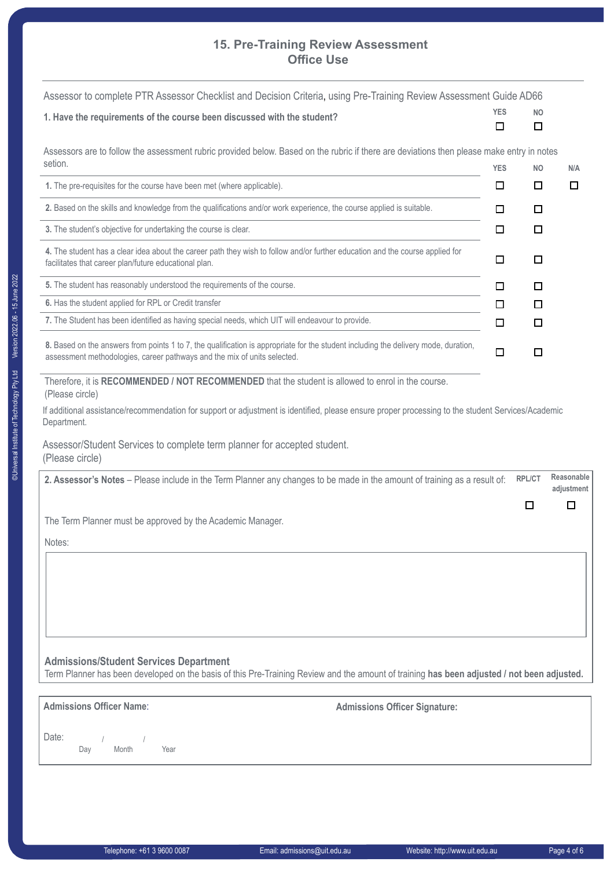### **Office Use 15. Pre-Training Review Assessment**

| Assessor to complete PTR Assessor Checklist and Decision Criteria, using Pre-Training Review Assessment Guide AD66                                                                                              | <b>YES</b> | <b>NO</b> |                          |
|-----------------------------------------------------------------------------------------------------------------------------------------------------------------------------------------------------------------|------------|-----------|--------------------------|
| 1. Have the requirements of the course been discussed with the student?                                                                                                                                         | □          | □         |                          |
| Assessors are to follow the assessment rubric provided below. Based on the rubric if there are deviations then please make entry in notes<br>setion.                                                            |            |           |                          |
|                                                                                                                                                                                                                 | <b>YES</b> | <b>NO</b> | N/A                      |
| 1. The pre-requisites for the course have been met (where applicable).                                                                                                                                          | □          | □         | □                        |
| 2. Based on the skills and knowledge from the qualifications and/or work experience, the course applied is suitable.                                                                                            | □          | □         |                          |
| 3. The student's objective for undertaking the course is clear.                                                                                                                                                 | □          | □         |                          |
| 4. The student has a clear idea about the career path they wish to follow and/or further education and the course applied for<br>facilitates that career plan/future educational plan.                          | □          | $\Box$    |                          |
| 5. The student has reasonably understood the requirements of the course.                                                                                                                                        | □          | □         |                          |
| 6. Has the student applied for RPL or Credit transfer                                                                                                                                                           | ப          | □         |                          |
| 7. The Student has been identified as having special needs, which UIT will endeavour to provide.                                                                                                                | □          | □         |                          |
| 8. Based on the answers from points 1 to 7, the qualification is appropriate for the student including the delivery mode, duration,<br>assessment methodologies, career pathways and the mix of units selected. | □          | □         |                          |
| Therefore, it is RECOMMENDED / NOT RECOMMENDED that the student is allowed to enrol in the course.<br>(Please circle)                                                                                           |            |           |                          |
| If additional assistance/recommendation for support or adjustment is identified, please ensure proper processing to the student Services/Academic<br>Department.                                                |            |           |                          |
| Assessor/Student Services to complete term planner for accepted student.<br>(Please circle)                                                                                                                     |            |           |                          |
| 2. Assessor's Notes - Please include in the Term Planner any changes to be made in the amount of training as a result of:                                                                                       |            | RPL/CT    | Reasonable<br>adjustment |
|                                                                                                                                                                                                                 |            | □         | □                        |
| The Term Planner must be approved by the Academic Manager.                                                                                                                                                      |            |           |                          |
| Notes:                                                                                                                                                                                                          |            |           |                          |
|                                                                                                                                                                                                                 |            |           |                          |
|                                                                                                                                                                                                                 |            |           |                          |
|                                                                                                                                                                                                                 |            |           |                          |
|                                                                                                                                                                                                                 |            |           |                          |
|                                                                                                                                                                                                                 |            |           |                          |

**Admissions/Student Services Department**

Term Planner has been developed on the basis of this Pre-Training Review and the amount of training **has been adjusted / not been adjusted.**

**Admissions Officer Name**: **Admissions Officer Signature:**

Date: Day Month Year / /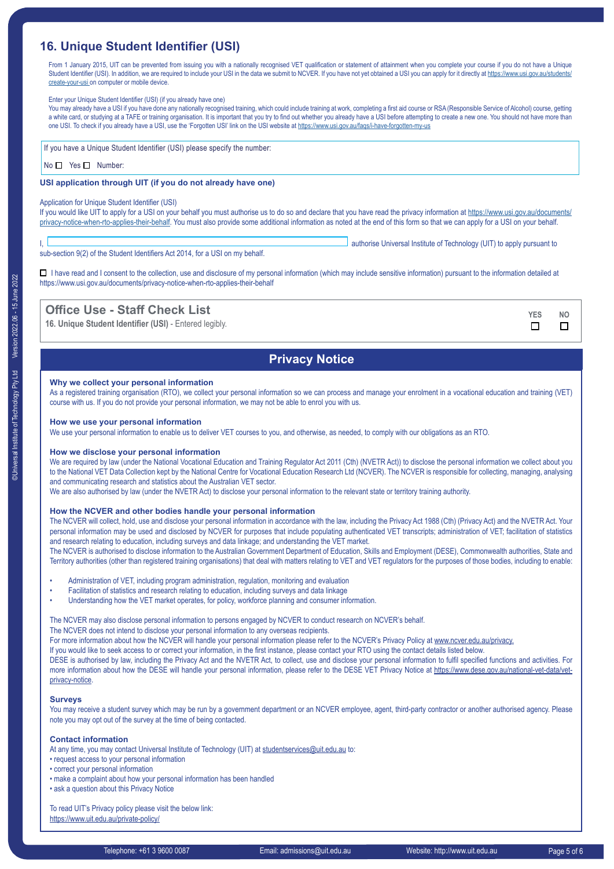### **16. Unique Student Identifier (USI)**

From 1 January 2015, UIT can be prevented from issuing you with a nationally recognised VET qualification or statement of attainment when you complete your course if you do not have a Unique Student Identifier (USI). In addition, we are required to include your USI in the data we submit to NCVER. If you have not yet obtained a USI you can apply for it directly at [https://www.usi.gov.au/students/](https://www.usi.gov.au/students/create-your-usi ) [create-your-usi](https://www.usi.gov.au/students/create-your-usi ) on computer or mobile device.

Enter your Unique Student Identifier (USI) (if you already have one)

You may already have a USI if you have done any nationally recognised training, which could include training at work, completing a first aid course or RSA (Responsible Service of Alcohol) course, getting a white card, or studying at a TAFE or training organisation. It is important that you try to find out whether you already have a USI before attempting to create a new one. You should not have more than one USI. To check if you already have a USI, use the 'Forgotten USI' link on the USI website at<https://www.usi.gov.au/faqs/i-have-forgotten-my-us>

If you have a Unique Student Identifier (USI) please specify the number:

#### No **No** Yes **Number:**

#### **USI application through UIT (if you do not already have one)**

#### Application for Unique Student Identifier (USI)

If you would like UIT to apply for a USI on your behalf you must authorise us to do so and declare that you have read the privacy information at [https://www.usi.gov.au/documents/](https://www.usi.gov.au/documents/privacy-notice-when-rto-applies-their-behalf) [privacy-notice-when-rto-applies-their-behalf.](https://www.usi.gov.au/documents/privacy-notice-when-rto-applies-their-behalf) You must also provide some additional information as noted at the end of this form so that we can apply for a USI on your behalf.

sub-section 9(2) of the Student Identifiers Act 2014, for a USI on my behalf.

authorise Universal Institute of Technology (UIT) to apply pursuant to

□ I have read and I consent to the collection, use and disclosure of my personal information (which may include sensitive information) pursuant to the information detailed at https://www.usi.gov.au/documents/privacy-notice-when-rto-applies-their-behalf

### **Office Use - Staff Check List YES NO**

**16. Unique Student Identifier (USI)** - Entered legibly.

### **Privacy Notice**

#### **Why we collect your personal information**

As a registered training organisation (RTO), we collect your personal information so we can process and manage your enrolment in a vocational education and training (VET) course with us. If you do not provide your personal information, we may not be able to enrol you with us.

#### **How we use your personal information**

We use your personal information to enable us to deliver VET courses to you, and otherwise, as needed, to comply with our obligations as an RTO.

#### **How we disclose your personal information**

We are required by law (under the National Vocational Education and Training Regulator Act 2011 (Cth) (NVETR Act)) to disclose the personal information we collect about you to the National VET Data Collection kept by the National Centre for Vocational Education Research Ltd (NCVER). The NCVER is responsible for collecting, managing, analysing and communicating research and statistics about the Australian VET sector.

We are also authorised by law (under the NVETR Act) to disclose your personal information to the relevant state or territory training authority.

#### **How the NCVER and other bodies handle your personal information**

The NCVER will collect, hold, use and disclose your personal information in accordance with the law, including the Privacy Act 1988 (Cth) (Privacy Act) and the NVETR Act. Your personal information may be used and disclosed by NCVER for purposes that include populating authenticated VET transcripts; administration of VET; facilitation of statistics and research relating to education, including surveys and data linkage; and understanding the VET market.

The NCVER is authorised to disclose information to the Australian Government Department of Education, Skills and Employment (DESE), Commonwealth authorities, State and Territory authorities (other than registered training organisations) that deal with matters relating to VET and VET regulators for the purposes of those bodies, including to enable:

- Administration of VET, including program administration, regulation, monitoring and evaluation
- Facilitation of statistics and research relating to education, including surveys and data linkage
- Understanding how the VET market operates, for policy, workforce planning and consumer information.

The NCVER may also disclose personal information to persons engaged by NCVER to conduct research on NCVER's behalf.

The NCVER does not intend to disclose your personal information to any overseas recipients.

For more information about how the NCVER will handle your personal information please refer to the NCVER's Privacy Policy at [www.ncver.edu.au/privacy.](http://www.ncver.edu.au/privacy)

If you would like to seek access to or correct your information, in the first instance, please contact your RTO using the contact details listed below.

DESE is authorised by law, including the Privacy Act and the NVETR Act, to collect, use and disclose your personal information to fulfil specified functions and activities. For more information about how the DESE will handle your personal information, please refer to the DESE VET Privacy Notice at [https://www.dese.gov.au/national-vet-data/vet](https://www.dese.gov.au/national-vet-data/vet-privacy-notice)[privacy-notice.](https://www.dese.gov.au/national-vet-data/vet-privacy-notice)

#### **Surveys**

You may receive a student survey which may be run by a government department or an NCVER employee, agent, third-party contractor or another authorised agency. Please note you may opt out of the survey at the time of being contacted.

#### **Contact information**

At any time, you may contact Universal Institute of Technology (UIT) at [studentservices@uit.edu.au](http://studentservices@uit.edu.au) to:

- request access to your personal information
- correct your personal information
- make a complaint about how your personal information has been handled
- ask a question about this Privacy Notice

To read UIT's Privacy policy please visit the below link: <https://www.uit.edu.au/private-policy/>

 $\Box$ 

 $\Box$